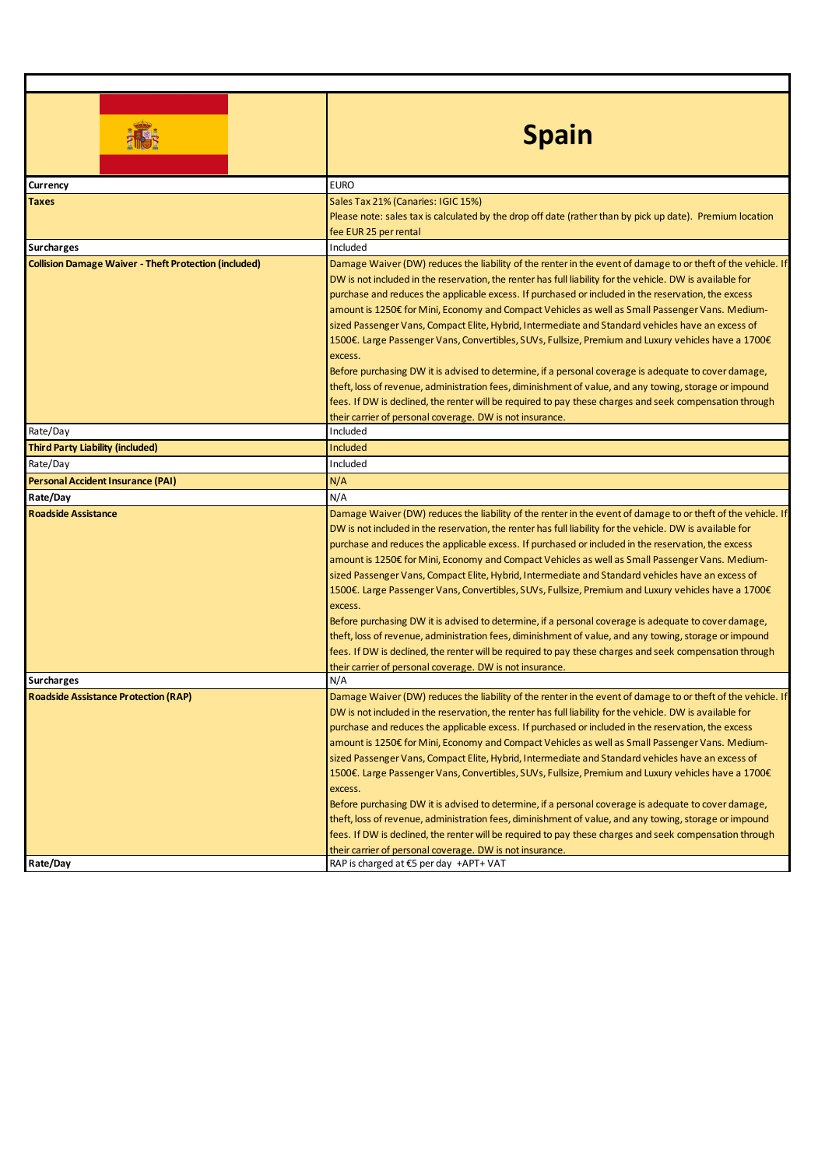|                                                              | <b>Spain</b>                                                                                                                                                                                                                                                                                                                                                                                                                                                                                                                                                                                                                                                                                                                                                                                                                                                                                                                                                                                                                                        |
|--------------------------------------------------------------|-----------------------------------------------------------------------------------------------------------------------------------------------------------------------------------------------------------------------------------------------------------------------------------------------------------------------------------------------------------------------------------------------------------------------------------------------------------------------------------------------------------------------------------------------------------------------------------------------------------------------------------------------------------------------------------------------------------------------------------------------------------------------------------------------------------------------------------------------------------------------------------------------------------------------------------------------------------------------------------------------------------------------------------------------------|
| Currency                                                     | <b>EURO</b>                                                                                                                                                                                                                                                                                                                                                                                                                                                                                                                                                                                                                                                                                                                                                                                                                                                                                                                                                                                                                                         |
| Taxes                                                        | Sales Tax 21% (Canaries: IGIC 15%)<br>Please note: sales tax is calculated by the drop off date (rather than by pick up date). Premium location<br>fee EUR 25 per rental                                                                                                                                                                                                                                                                                                                                                                                                                                                                                                                                                                                                                                                                                                                                                                                                                                                                            |
| <b>Surcharges</b>                                            | Included                                                                                                                                                                                                                                                                                                                                                                                                                                                                                                                                                                                                                                                                                                                                                                                                                                                                                                                                                                                                                                            |
| <b>Collision Damage Waiver - Theft Protection (included)</b> | Damage Waiver (DW) reduces the liability of the renter in the event of damage to or theft of the vehicle. If<br>DW is not included in the reservation, the renter has full liability for the vehicle. DW is available for<br>purchase and reduces the applicable excess. If purchased or included in the reservation, the excess<br>amount is 1250€ for Mini, Economy and Compact Vehicles as well as Small Passenger Vans. Medium-<br>sized Passenger Vans, Compact Elite, Hybrid, Intermediate and Standard vehicles have an excess of<br>1500€. Large Passenger Vans, Convertibles, SUVs, Fullsize, Premium and Luxury vehicles have a 1700€<br>excess.<br>Before purchasing DW it is advised to determine, if a personal coverage is adequate to cover damage,<br>theft, loss of revenue, administration fees, diminishment of value, and any towing, storage or impound<br>fees. If DW is declined, the renter will be required to pay these charges and seek compensation through<br>their carrier of personal coverage. DW is not insurance. |
| Rate/Day                                                     | Included                                                                                                                                                                                                                                                                                                                                                                                                                                                                                                                                                                                                                                                                                                                                                                                                                                                                                                                                                                                                                                            |
| <b>Third Party Liability (included)</b>                      | Included                                                                                                                                                                                                                                                                                                                                                                                                                                                                                                                                                                                                                                                                                                                                                                                                                                                                                                                                                                                                                                            |
| Rate/Day                                                     | Included                                                                                                                                                                                                                                                                                                                                                                                                                                                                                                                                                                                                                                                                                                                                                                                                                                                                                                                                                                                                                                            |
| <b>Personal Accident Insurance (PAI)</b>                     | N/A                                                                                                                                                                                                                                                                                                                                                                                                                                                                                                                                                                                                                                                                                                                                                                                                                                                                                                                                                                                                                                                 |
| Rate/Day                                                     | N/A                                                                                                                                                                                                                                                                                                                                                                                                                                                                                                                                                                                                                                                                                                                                                                                                                                                                                                                                                                                                                                                 |
| <b>Roadside Assistance</b>                                   | Damage Waiver (DW) reduces the liability of the renter in the event of damage to or theft of the vehicle. If<br>DW is not included in the reservation, the renter has full liability for the vehicle. DW is available for<br>purchase and reduces the applicable excess. If purchased or included in the reservation, the excess<br>amount is 1250€ for Mini, Economy and Compact Vehicles as well as Small Passenger Vans. Medium-<br>sized Passenger Vans, Compact Elite, Hybrid, Intermediate and Standard vehicles have an excess of<br>1500€. Large Passenger Vans, Convertibles, SUVs, Fullsize, Premium and Luxury vehicles have a 1700€<br>excess.<br>Before purchasing DW it is advised to determine, if a personal coverage is adequate to cover damage,<br>theft, loss of revenue, administration fees, diminishment of value, and any towing, storage or impound<br>fees. If DW is declined, the renter will be required to pay these charges and seek compensation through<br>their carrier of personal coverage. DW is not insurance. |
| <b>Surcharges</b>                                            | N/A                                                                                                                                                                                                                                                                                                                                                                                                                                                                                                                                                                                                                                                                                                                                                                                                                                                                                                                                                                                                                                                 |
| <b>Roadside Assistance Protection (RAP)</b>                  | Damage Waiver (DW) reduces the liability of the renter in the event of damage to or theft of the vehicle. If<br>DW is not included in the reservation, the renter has full liability for the vehicle. DW is available for<br>purchase and reduces the applicable excess. If purchased or included in the reservation, the excess<br>amount is 1250€ for Mini, Economy and Compact Vehicles as well as Small Passenger Vans. Medium-<br>sized Passenger Vans, Compact Elite, Hybrid, Intermediate and Standard vehicles have an excess of<br>1500€. Large Passenger Vans, Convertibles, SUVs, Fullsize, Premium and Luxury vehicles have a 1700€<br>excess.<br>Before purchasing DW it is advised to determine, if a personal coverage is adequate to cover damage,<br>theft, loss of revenue, administration fees, diminishment of value, and any towing, storage or impound<br>fees. If DW is declined, the renter will be required to pay these charges and seek compensation through<br>their carrier of personal coverage. DW is not insurance. |
| Rate/Day                                                     | RAP is charged at €5 per day +APT+ VAT                                                                                                                                                                                                                                                                                                                                                                                                                                                                                                                                                                                                                                                                                                                                                                                                                                                                                                                                                                                                              |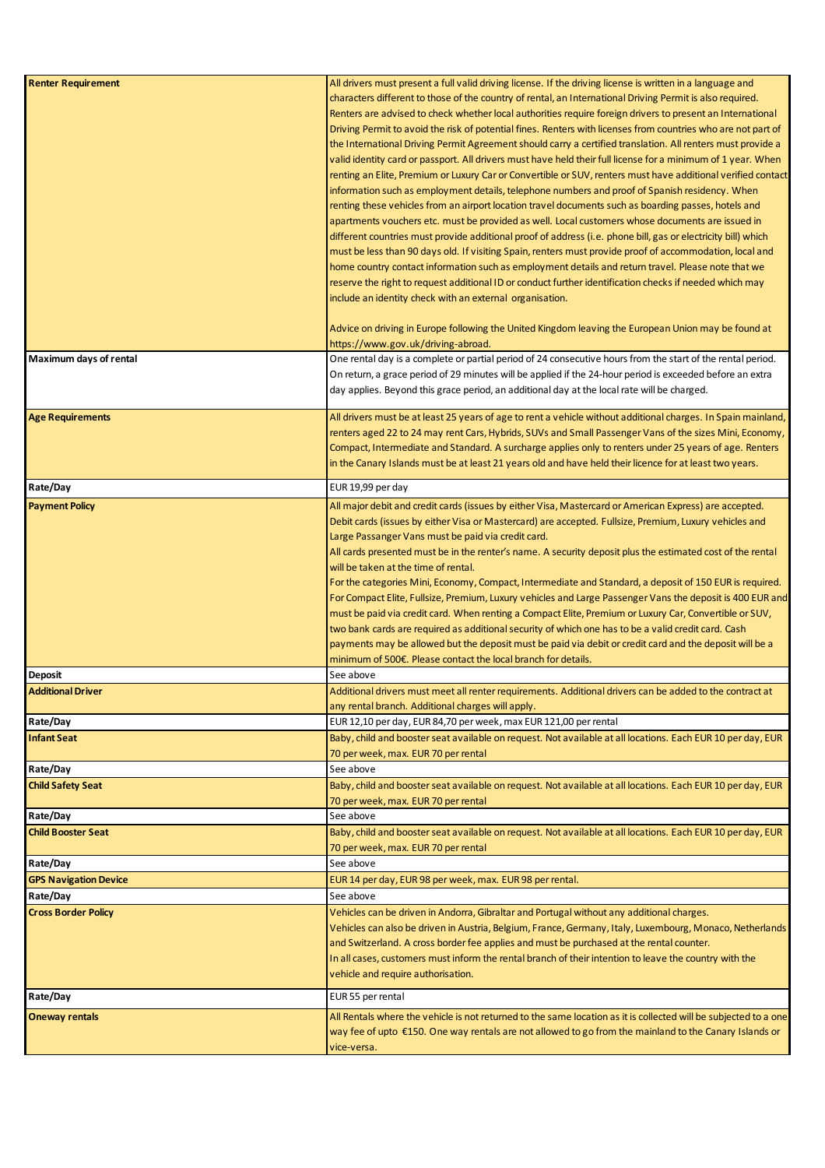| <b>Renter Requirement</b>    | All drivers must present a full valid driving license. If the driving license is written in a language and<br>characters different to those of the country of rental, an International Driving Permit is also required. |
|------------------------------|-------------------------------------------------------------------------------------------------------------------------------------------------------------------------------------------------------------------------|
|                              |                                                                                                                                                                                                                         |
|                              | Renters are advised to check whether local authorities require foreign drivers to present an International                                                                                                              |
|                              | Driving Permit to avoid the risk of potential fines. Renters with licenses from countries who are not part of                                                                                                           |
|                              | the International Driving Permit Agreement should carry a certified translation. All renters must provide a                                                                                                             |
|                              | valid identity card or passport. All drivers must have held their full license for a minimum of 1 year. When                                                                                                            |
|                              | renting an Elite, Premium or Luxury Car or Convertible or SUV, renters must have additional verified contact                                                                                                            |
|                              | information such as employment details, telephone numbers and proof of Spanish residency. When                                                                                                                          |
|                              | renting these vehicles from an airport location travel documents such as boarding passes, hotels and                                                                                                                    |
|                              | apartments vouchers etc. must be provided as well. Local customers whose documents are issued in                                                                                                                        |
|                              | different countries must provide additional proof of address (i.e. phone bill, gas or electricity bill) which                                                                                                           |
|                              | must be less than 90 days old. If visiting Spain, renters must provide proof of accommodation, local and                                                                                                                |
|                              | home country contact information such as employment details and return travel. Please note that we                                                                                                                      |
|                              | reserve the right to request additional ID or conduct further identification checks if needed which may                                                                                                                 |
|                              | include an identity check with an external organisation.                                                                                                                                                                |
|                              |                                                                                                                                                                                                                         |
|                              |                                                                                                                                                                                                                         |
|                              | Advice on driving in Europe following the United Kingdom leaving the European Union may be found at                                                                                                                     |
|                              | https://www.gov.uk/driving-abroad.                                                                                                                                                                                      |
| Maximum days of rental       | One rental day is a complete or partial period of 24 consecutive hours from the start of the rental period.                                                                                                             |
|                              | On return, a grace period of 29 minutes will be applied if the 24-hour period is exceeded before an extra                                                                                                               |
|                              | day applies. Beyond this grace period, an additional day at the local rate will be charged.                                                                                                                             |
|                              |                                                                                                                                                                                                                         |
| <b>Age Requirements</b>      | All drivers must be at least 25 years of age to rent a vehicle without additional charges. In Spain mainland,                                                                                                           |
|                              | renters aged 22 to 24 may rent Cars, Hybrids, SUVs and Small Passenger Vans of the sizes Mini, Economy,                                                                                                                 |
|                              | Compact, Intermediate and Standard. A surcharge applies only to renters under 25 years of age. Renters                                                                                                                  |
|                              | in the Canary Islands must be at least 21 years old and have held their licence for at least two years.                                                                                                                 |
| Rate/Day                     | EUR 19,99 per day                                                                                                                                                                                                       |
| <b>Payment Policy</b>        | All major debit and credit cards (issues by either Visa, Mastercard or American Express) are accepted.                                                                                                                  |
|                              | Debit cards (issues by either Visa or Mastercard) are accepted. Fullsize, Premium, Luxury vehicles and                                                                                                                  |
|                              | Large Passanger Vans must be paid via credit card.                                                                                                                                                                      |
|                              | All cards presented must be in the renter's name. A security deposit plus the estimated cost of the rental                                                                                                              |
|                              | will be taken at the time of rental.                                                                                                                                                                                    |
|                              | For the categories Mini, Economy, Compact, Intermediate and Standard, a deposit of 150 EUR is required.                                                                                                                 |
|                              | For Compact Elite, Fullsize, Premium, Luxury vehicles and Large Passenger Vans the deposit is 400 EUR and                                                                                                               |
|                              |                                                                                                                                                                                                                         |
|                              | must be paid via credit card. When renting a Compact Elite, Premium or Luxury Car, Convertible or SUV,                                                                                                                  |
|                              | two bank cards are required as additional security of which one has to be a valid credit card. Cash                                                                                                                     |
|                              | payments may be allowed but the deposit must be paid via debit or credit card and the deposit will be a                                                                                                                 |
|                              | minimum of 500€. Please contact the local branch for details.                                                                                                                                                           |
| <b>Deposit</b>               | See above                                                                                                                                                                                                               |
| <b>Additional Driver</b>     | Additional drivers must meet all renter requirements. Additional drivers can be added to the contract at                                                                                                                |
|                              | any rental branch. Additional charges will apply.                                                                                                                                                                       |
| Rate/Day                     | EUR 12,10 per day, EUR 84,70 per week, max EUR 121,00 per rental                                                                                                                                                        |
| <b>Infant Seat</b>           | Baby, child and booster seat available on request. Not available at all locations. Each EUR 10 per day, EUR                                                                                                             |
|                              | 70 per week, max. EUR 70 per rental                                                                                                                                                                                     |
| Rate/Day                     | See above                                                                                                                                                                                                               |
| <b>Child Safety Seat</b>     | Baby, child and booster seat available on request. Not available at all locations. Each EUR 10 per day, EUR                                                                                                             |
|                              | 70 per week, max. EUR 70 per rental                                                                                                                                                                                     |
| Rate/Day                     | See above                                                                                                                                                                                                               |
| <b>Child Booster Seat</b>    | Baby, child and booster seat available on request. Not available at all locations. Each EUR 10 per day, EUR                                                                                                             |
|                              | 70 per week, max. EUR 70 per rental                                                                                                                                                                                     |
| Rate/Day                     | See above                                                                                                                                                                                                               |
| <b>GPS Navigation Device</b> | EUR 14 per day, EUR 98 per week, max. EUR 98 per rental.                                                                                                                                                                |
| Rate/Day                     | See above                                                                                                                                                                                                               |
| <b>Cross Border Policy</b>   | Vehicles can be driven in Andorra, Gibraltar and Portugal without any additional charges.                                                                                                                               |
|                              | Vehicles can also be driven in Austria, Belgium, France, Germany, Italy, Luxembourg, Monaco, Netherlands                                                                                                                |
|                              | and Switzerland. A cross border fee applies and must be purchased at the rental counter.                                                                                                                                |
|                              | In all cases, customers must inform the rental branch of their intention to leave the country with the                                                                                                                  |
|                              | vehicle and require authorisation.                                                                                                                                                                                      |
| Rate/Day                     | EUR 55 per rental                                                                                                                                                                                                       |
| <b>Oneway rentals</b>        | All Rentals where the vehicle is not returned to the same location as it is collected will be subjected to a one                                                                                                        |
|                              | way fee of upto €150. One way rentals are not allowed to go from the mainland to the Canary Islands or                                                                                                                  |
|                              | vice-versa.                                                                                                                                                                                                             |
|                              |                                                                                                                                                                                                                         |